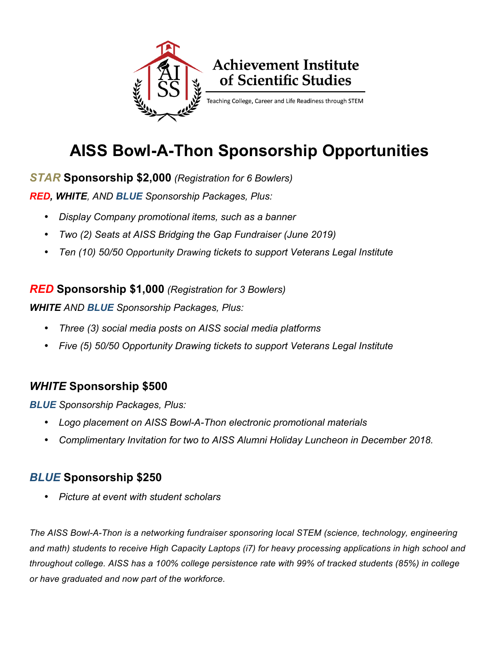

# **AISS Bowl-A-Thon Sponsorship Opportunities**

*STAR* **Sponsorship \$2,000** *(Registration for 6 Bowlers)*

*RED, WHITE, AND BLUE Sponsorship Packages, Plus:*

- *Display Company promotional items, such as a banner*
- *Two (2) Seats at AISS Bridging the Gap Fundraiser (June 2019)*
- *Ten (10) 50/50 Opportunity Drawing tickets to support Veterans Legal Institute*

#### *RED* **Sponsorship \$1,000** *(Registration for 3 Bowlers)*

*WHITE AND BLUE Sponsorship Packages, Plus:*

- *Three (3) social media posts on AISS social media platforms*
- *Five (5) 50/50 Opportunity Drawing tickets to support Veterans Legal Institute*

## *WHITE* **Sponsorship \$500**

*BLUE Sponsorship Packages, Plus:*

- *Logo placement on AISS Bowl-A-Thon electronic promotional materials*
- *Complimentary Invitation for two to AISS Alumni Holiday Luncheon in December 2018.*

## *BLUE* **Sponsorship \$250**

• *Picture at event with student scholars* 

*The AISS Bowl-A-Thon is a networking fundraiser sponsoring local STEM (science, technology, engineering and math) students to receive High Capacity Laptops (i7) for heavy processing applications in high school and throughout college. AISS has a 100% college persistence rate with 99% of tracked students (85%) in college or have graduated and now part of the workforce.*